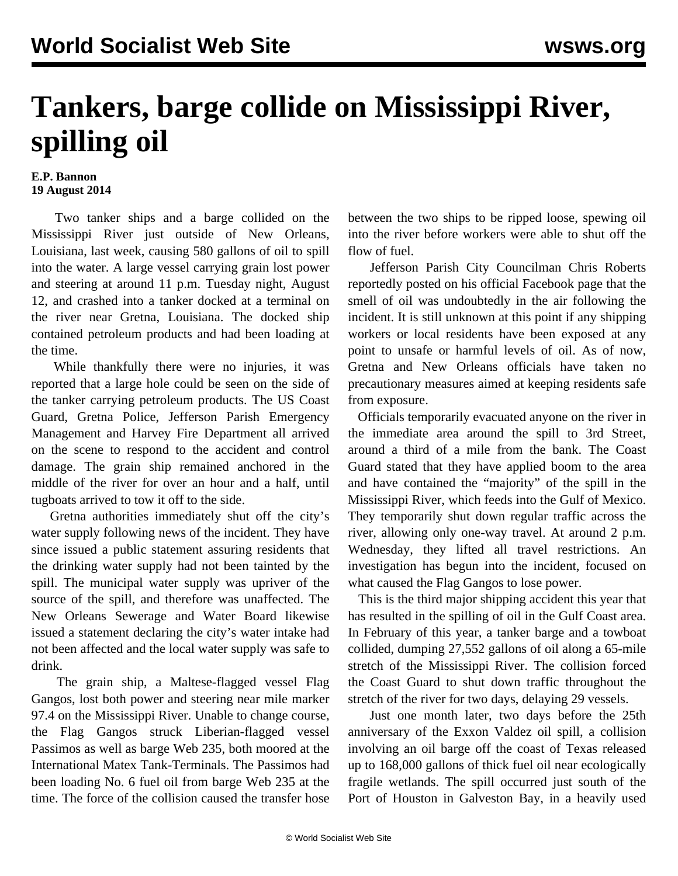## **Tankers, barge collide on Mississippi River, spilling oil**

## **E.P. Bannon 19 August 2014**

 Two tanker ships and a barge collided on the Mississippi River just outside of New Orleans, Louisiana, last week, causing 580 gallons of oil to spill into the water. A large vessel carrying grain lost power and steering at around 11 p.m. Tuesday night, August 12, and crashed into a tanker docked at a terminal on the river near Gretna, Louisiana. The docked ship contained petroleum products and had been loading at the time.

 While thankfully there were no injuries, it was reported that a large hole could be seen on the side of the tanker carrying petroleum products. The US Coast Guard, Gretna Police, Jefferson Parish Emergency Management and Harvey Fire Department all arrived on the scene to respond to the accident and control damage. The grain ship remained anchored in the middle of the river for over an hour and a half, until tugboats arrived to tow it off to the side.

 Gretna authorities immediately shut off the city's water supply following news of the incident. They have since issued a public statement assuring residents that the drinking water supply had not been tainted by the spill. The municipal water supply was upriver of the source of the spill, and therefore was unaffected. The New Orleans Sewerage and Water Board likewise issued a statement declaring the city's water intake had not been affected and the local water supply was safe to drink.

 The grain ship, a Maltese-flagged vessel Flag Gangos, lost both power and steering near mile marker 97.4 on the Mississippi River. Unable to change course, the Flag Gangos struck Liberian-flagged vessel Passimos as well as barge Web 235, both moored at the International Matex Tank-Terminals. The Passimos had been loading No. 6 fuel oil from barge Web 235 at the time. The force of the collision caused the transfer hose between the two ships to be ripped loose, spewing oil into the river before workers were able to shut off the flow of fuel.

 Jefferson Parish City Councilman Chris Roberts reportedly posted on his official Facebook page that the smell of oil was undoubtedly in the air following the incident. It is still unknown at this point if any shipping workers or local residents have been exposed at any point to unsafe or harmful levels of oil. As of now, Gretna and New Orleans officials have taken no precautionary measures aimed at keeping residents safe from exposure.

 Officials temporarily evacuated anyone on the river in the immediate area around the spill to 3rd Street, around a third of a mile from the bank. The Coast Guard stated that they have applied boom to the area and have contained the "majority" of the spill in the Mississippi River, which feeds into the Gulf of Mexico. They temporarily shut down regular traffic across the river, allowing only one-way travel. At around 2 p.m. Wednesday, they lifted all travel restrictions. An investigation has begun into the incident, focused on what caused the Flag Gangos to lose power.

 This is the third major shipping accident this year that has resulted in the spilling of oil in the Gulf Coast area. In February of this year, a tanker barge and a towboat collided, dumping 27,552 gallons of oil along a 65-mile stretch of the Mississippi River. The collision forced the Coast Guard to shut down traffic throughout the stretch of the river for two days, delaying 29 vessels.

 Just one month later, two days before the 25th anniversary of the Exxon Valdez oil spill, a collision involving an oil barge off the coast of Texas released up to 168,000 gallons of thick fuel oil near ecologically fragile wetlands. The spill occurred just south of the Port of Houston in Galveston Bay, in a heavily used